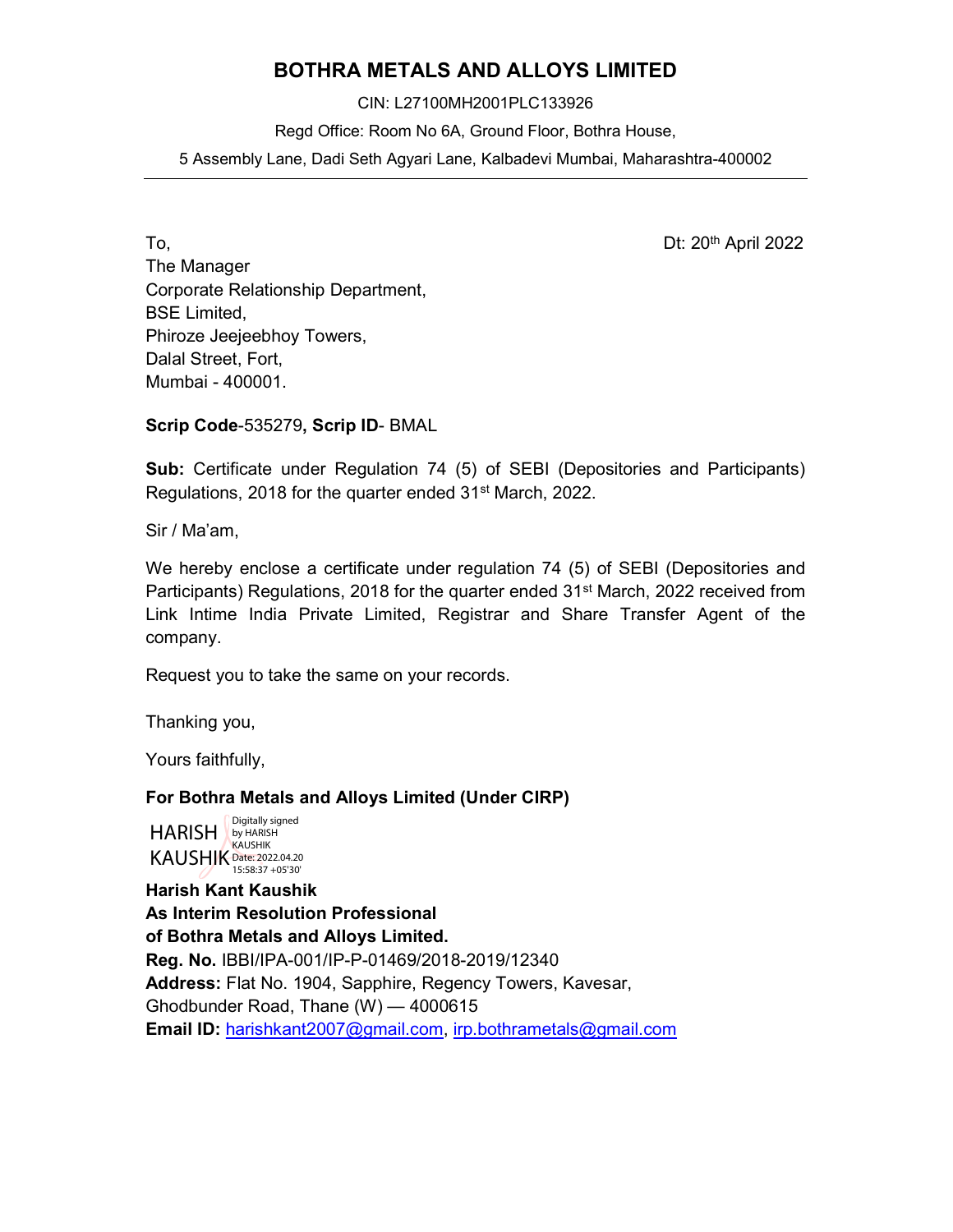## BOTHRA METALS AND ALLOYS LIMITED

CIN: L27100MH2001PLC133926 Regd Office: Room No 6A, Ground Floor, Bothra House, 5 Assembly Lane, Dadi Seth Agyari Lane, Kalbadevi Mumbai, Maharashtra-400002

To, Dt: 20th April 2022 The Manager Corporate Relationship Department, BSE Limited, Phiroze Jeejeebhoy Towers, Dalal Street, Fort, Mumbai - 400001.

Scrip Code-535279, Scrip ID- BMAL

Sub: Certificate under Regulation 74 (5) of SEBI (Depositories and Participants) Regulations, 2018 for the quarter ended 31<sup>st</sup> March, 2022.

Sir / Ma'am,

We hereby enclose a certificate under regulation 74 (5) of SEBI (Depositories and Participants) Regulations, 2018 for the quarter ended 31<sup>st</sup> March, 2022 received from Link Intime India Private Limited, Registrar and Share Transfer Agent of the company.

Request you to take the same on your records.

Thanking you,

Yours faithfully,

## For Bothra Metals and Alloys Limited (Under CIRP)

HARISH by HARISH **KAUSHIK Date: 2022.04.20** Digitally signed 15:58:37 +05'30'

Harish Kant Kaushik As Interim Resolution Professional of Bothra Metals and Alloys Limited. Reg. No. IBBI/IPA-001/IP-P-01469/2018-2019/12340 Address: Flat No. 1904, Sapphire, Regency Towers, Kavesar, Ghodbunder Road, Thane (W) — 4000615 Email ID: harishkant2007@gmail.com, irp.bothrametals@gmail.com